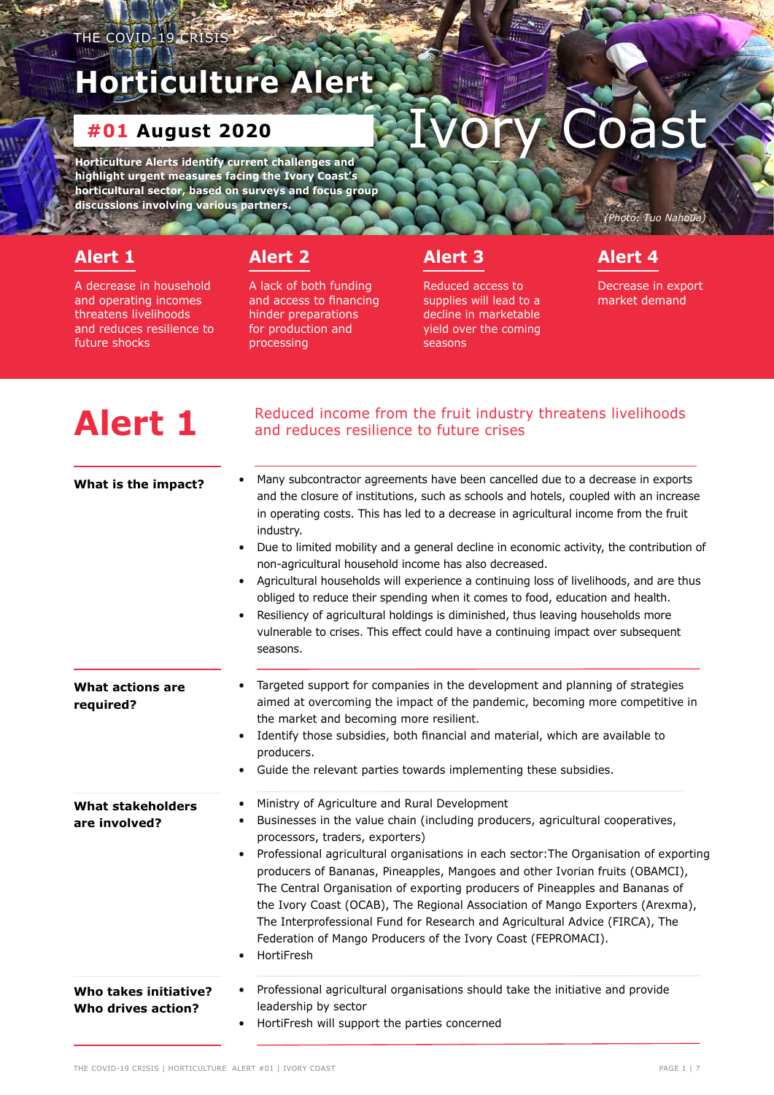## <span id="page-0-1"></span>**Horticulture Alert**

## **#01 August 2020**

**Horticulture Alerts identify current challenges and highlight urgent measures facing the Ivory Coast's horticultural sector, based on surveys and focus group discussions involving various partners.** 

## **[Alert 1](#page-0-0)**

A decrease in household and operating incomes threatens livelihoods and reduces resilience to future shocks

## **[Alert 2](#page-1-0)**

[A lack of both funding](#page-1-0)  [and access to financing](#page-1-0)  [hinder preparations](#page-1-0)  [for production and](#page-1-0)  [processing](#page-1-0)

### **[Alert 3](#page-2-0)**

[Reduced access to](#page-2-0)  [supplies will lead to a](#page-2-0)  [decline in marketable](#page-2-0)  [yield over the coming](#page-2-0)  [seasons](#page-2-0)

## **[Alert 4](#page-3-0)**

Decrease in export market demand

*(Photo: Tuo Nahoua)*

*(Photo: HortiFresh programme)*

<span id="page-0-0"></span>

| <b>Alert 1</b>                                     | Reduced income from the fruit industry threatens livelihoods<br>and reduces resilience to future crises                                                                                                                                                                                                                                                                                                                                                                                                                                                                                                                                                                                                                                                                                                     |
|----------------------------------------------------|-------------------------------------------------------------------------------------------------------------------------------------------------------------------------------------------------------------------------------------------------------------------------------------------------------------------------------------------------------------------------------------------------------------------------------------------------------------------------------------------------------------------------------------------------------------------------------------------------------------------------------------------------------------------------------------------------------------------------------------------------------------------------------------------------------------|
| What is the impact?                                | Many subcontractor agreements have been cancelled due to a decrease in exports<br>and the closure of institutions, such as schools and hotels, coupled with an increase<br>in operating costs. This has led to a decrease in agricultural income from the fruit<br>industry.<br>Due to limited mobility and a general decline in economic activity, the contribution of<br>$\bullet$<br>non-agricultural household income has also decreased.<br>Agricultural households will experience a continuing loss of livelihoods, and are thus<br>obliged to reduce their spending when it comes to food, education and health.<br>Resiliency of agricultural holdings is diminished, thus leaving households more<br>vulnerable to crises. This effect could have a continuing impact over subsequent<br>seasons. |
| What actions are<br>required?                      | Targeted support for companies in the development and planning of strategies<br>aimed at overcoming the impact of the pandemic, becoming more competitive in<br>the market and becoming more resilient.<br>Identify those subsidies, both financial and material, which are available to<br>producers.<br>Guide the relevant parties towards implementing these subsidies.                                                                                                                                                                                                                                                                                                                                                                                                                                  |
| <b>What stakeholders</b><br>are involved?          | Ministry of Agriculture and Rural Development<br>٠<br>Businesses in the value chain (including producers, agricultural cooperatives,<br>٠<br>processors, traders, exporters)<br>Professional agricultural organisations in each sector: The Organisation of exporting<br>$\bullet$<br>producers of Bananas, Pineapples, Mangoes and other Ivorian fruits (OBAMCI),<br>The Central Organisation of exporting producers of Pineapples and Bananas of<br>the Ivory Coast (OCAB), The Regional Association of Mango Exporters (Arexma),<br>The Interprofessional Fund for Research and Agricultural Advice (FIRCA), The<br>Federation of Mango Producers of the Ivory Coast (FEPROMACI).<br>HortiFresh                                                                                                          |
| <b>Who takes initiative?</b><br>Who drives action? | Professional agricultural organisations should take the initiative and provide<br>leadership by sector<br>HortiFresh will support the parties concerned                                                                                                                                                                                                                                                                                                                                                                                                                                                                                                                                                                                                                                                     |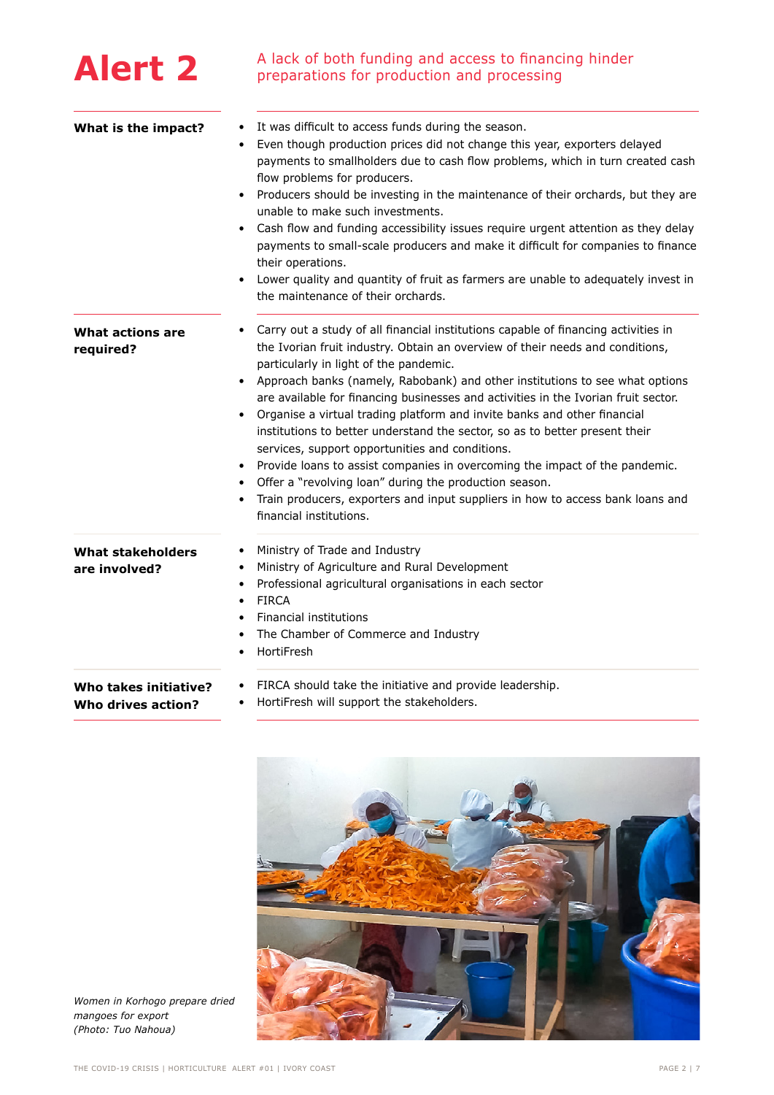<span id="page-1-0"></span>

| <b>Alert 2</b>                              | A lack of both funding and access to financing hinder<br>preparations for production and processing                                                                                                                                                                                                                                                                                                                                                                                                                                                                                                                                                                                                                                                                                                                                                          |
|---------------------------------------------|--------------------------------------------------------------------------------------------------------------------------------------------------------------------------------------------------------------------------------------------------------------------------------------------------------------------------------------------------------------------------------------------------------------------------------------------------------------------------------------------------------------------------------------------------------------------------------------------------------------------------------------------------------------------------------------------------------------------------------------------------------------------------------------------------------------------------------------------------------------|
| What is the impact?                         | It was difficult to access funds during the season.<br>$\bullet$<br>Even though production prices did not change this year, exporters delayed<br>payments to smallholders due to cash flow problems, which in turn created cash<br>flow problems for producers.<br>Producers should be investing in the maintenance of their orchards, but they are<br>unable to make such investments.<br>Cash flow and funding accessibility issues require urgent attention as they delay<br>payments to small-scale producers and make it difficult for companies to finance<br>their operations.<br>Lower quality and quantity of fruit as farmers are unable to adequately invest in<br>$\bullet$<br>the maintenance of their orchards.                                                                                                                                |
| What actions are<br>required?               | Carry out a study of all financial institutions capable of financing activities in<br>٠<br>the Ivorian fruit industry. Obtain an overview of their needs and conditions,<br>particularly in light of the pandemic.<br>Approach banks (namely, Rabobank) and other institutions to see what options<br>are available for financing businesses and activities in the Ivorian fruit sector.<br>Organise a virtual trading platform and invite banks and other financial<br>institutions to better understand the sector, so as to better present their<br>services, support opportunities and conditions.<br>Provide loans to assist companies in overcoming the impact of the pandemic.<br>Offer a "revolving loan" during the production season.<br>Train producers, exporters and input suppliers in how to access bank loans and<br>financial institutions. |
| <b>What stakeholders</b><br>are involved?   | Ministry of Trade and Industry<br>٠<br>Ministry of Agriculture and Rural Development<br>٠<br>Professional agricultural organisations in each sector<br>FIRCA<br>$\bullet$<br>Financial institutions<br>The Chamber of Commerce and Industry<br>HortiFresh<br>٠                                                                                                                                                                                                                                                                                                                                                                                                                                                                                                                                                                                               |
| Who takes initiative?<br>Who drives action? | FIRCA should take the initiative and provide leadership.<br>HortiFresh will support the stakeholders.<br>$\bullet$                                                                                                                                                                                                                                                                                                                                                                                                                                                                                                                                                                                                                                                                                                                                           |



*Women in Korhogo prepare dried mangoes for export (Photo: Tuo Nahoua)*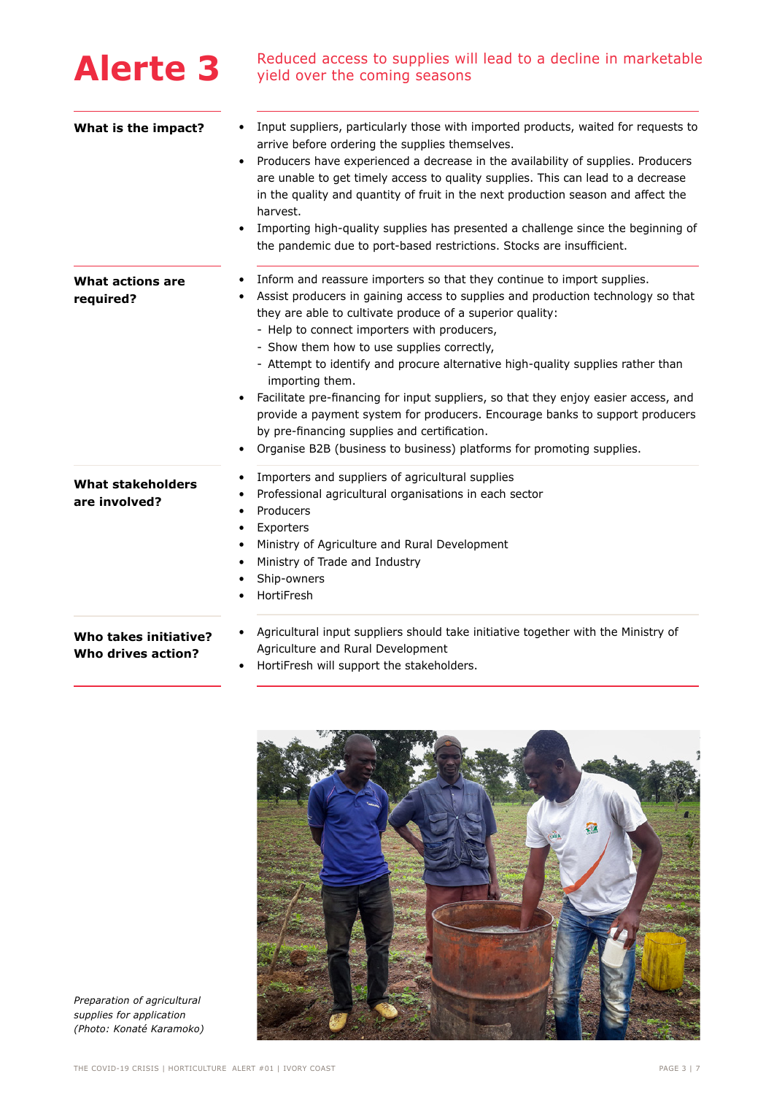<span id="page-2-0"></span>

| <b>Alerte 3</b>                             | Reduced access to supplies will lead to a decline in marketable<br>yield over the coming seasons                                                                                                                                                                                                                                                                                                                                                                                                                                                                                                                                                                                                                            |
|---------------------------------------------|-----------------------------------------------------------------------------------------------------------------------------------------------------------------------------------------------------------------------------------------------------------------------------------------------------------------------------------------------------------------------------------------------------------------------------------------------------------------------------------------------------------------------------------------------------------------------------------------------------------------------------------------------------------------------------------------------------------------------------|
| What is the impact?                         | Input suppliers, particularly those with imported products, waited for requests to<br>arrive before ordering the supplies themselves.<br>Producers have experienced a decrease in the availability of supplies. Producers<br>are unable to get timely access to quality supplies. This can lead to a decrease<br>in the quality and quantity of fruit in the next production season and affect the<br>harvest.<br>Importing high-quality supplies has presented a challenge since the beginning of                                                                                                                                                                                                                          |
|                                             | the pandemic due to port-based restrictions. Stocks are insufficient.                                                                                                                                                                                                                                                                                                                                                                                                                                                                                                                                                                                                                                                       |
| <b>What actions are</b><br>required?        | Inform and reassure importers so that they continue to import supplies.<br>Assist producers in gaining access to supplies and production technology so that<br>they are able to cultivate produce of a superior quality:<br>- Help to connect importers with producers,<br>- Show them how to use supplies correctly,<br>- Attempt to identify and procure alternative high-quality supplies rather than<br>importing them.<br>Facilitate pre-financing for input suppliers, so that they enjoy easier access, and<br>provide a payment system for producers. Encourage banks to support producers<br>by pre-financing supplies and certification.<br>Organise B2B (business to business) platforms for promoting supplies. |
| <b>What stakeholders</b><br>are involved?   | Importers and suppliers of agricultural supplies<br>٠<br>Professional agricultural organisations in each sector<br>Producers<br>Exporters<br>٠<br>Ministry of Agriculture and Rural Development<br>$\bullet$<br>Ministry of Trade and Industry<br>$\bullet$<br>Ship-owners<br>$\bullet$<br>HortiFresh                                                                                                                                                                                                                                                                                                                                                                                                                       |
| Who takes initiative?<br>Who drives action? | Agricultural input suppliers should take initiative together with the Ministry of<br>Agriculture and Rural Development<br>HortiFresh will support the stakeholders.                                                                                                                                                                                                                                                                                                                                                                                                                                                                                                                                                         |



*Preparation of agricultural supplies for application (Photo: Konaté Karamoko)*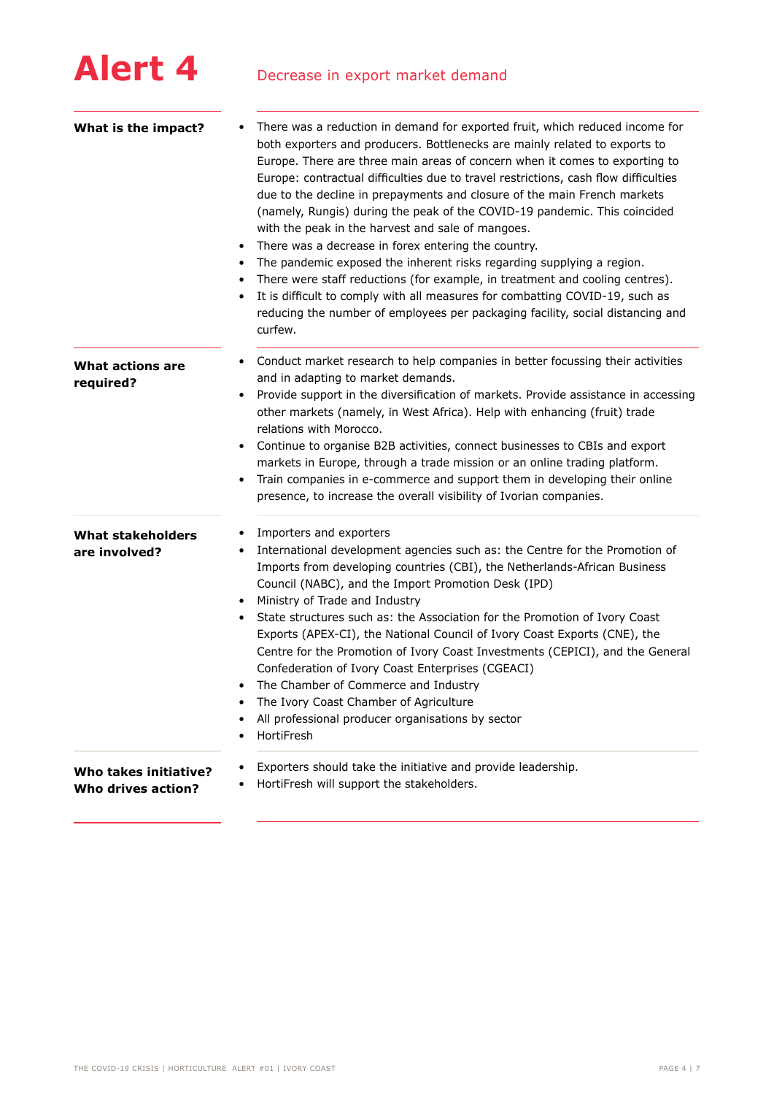<span id="page-3-0"></span>

| What is the impact?                         | There was a reduction in demand for exported fruit, which reduced income for<br>both exporters and producers. Bottlenecks are mainly related to exports to<br>Europe. There are three main areas of concern when it comes to exporting to<br>Europe: contractual difficulties due to travel restrictions, cash flow difficulties<br>due to the decline in prepayments and closure of the main French markets<br>(namely, Rungis) during the peak of the COVID-19 pandemic. This coincided<br>with the peak in the harvest and sale of mangoes.<br>There was a decrease in forex entering the country.<br>$\bullet$<br>The pandemic exposed the inherent risks regarding supplying a region.<br>There were staff reductions (for example, in treatment and cooling centres).<br>It is difficult to comply with all measures for combatting COVID-19, such as<br>reducing the number of employees per packaging facility, social distancing and<br>curfew. |
|---------------------------------------------|----------------------------------------------------------------------------------------------------------------------------------------------------------------------------------------------------------------------------------------------------------------------------------------------------------------------------------------------------------------------------------------------------------------------------------------------------------------------------------------------------------------------------------------------------------------------------------------------------------------------------------------------------------------------------------------------------------------------------------------------------------------------------------------------------------------------------------------------------------------------------------------------------------------------------------------------------------|
| What actions are<br>required?               | Conduct market research to help companies in better focussing their activities<br>٠<br>and in adapting to market demands.<br>Provide support in the diversification of markets. Provide assistance in accessing<br>other markets (namely, in West Africa). Help with enhancing (fruit) trade<br>relations with Morocco.<br>Continue to organise B2B activities, connect businesses to CBIs and export<br>٠<br>markets in Europe, through a trade mission or an online trading platform.<br>Train companies in e-commerce and support them in developing their online<br>٠<br>presence, to increase the overall visibility of Ivorian companies.                                                                                                                                                                                                                                                                                                          |
| <b>What stakeholders</b><br>are involved?   | Importers and exporters<br>٠<br>International development agencies such as: the Centre for the Promotion of<br>Imports from developing countries (CBI), the Netherlands-African Business<br>Council (NABC), and the Import Promotion Desk (IPD)<br>Ministry of Trade and Industry<br>State structures such as: the Association for the Promotion of Ivory Coast<br>٠<br>Exports (APEX-CI), the National Council of Ivory Coast Exports (CNE), the<br>Centre for the Promotion of Ivory Coast Investments (CEPICI), and the General<br>Confederation of Ivory Coast Enterprises (CGEACI)<br>The Chamber of Commerce and Industry<br>The Ivory Coast Chamber of Agriculture<br>All professional producer organisations by sector<br>HortiFresh                                                                                                                                                                                                             |
| Who takes initiative?<br>Who drives action? | Exporters should take the initiative and provide leadership.<br>HortiFresh will support the stakeholders.<br>٠                                                                                                                                                                                                                                                                                                                                                                                                                                                                                                                                                                                                                                                                                                                                                                                                                                           |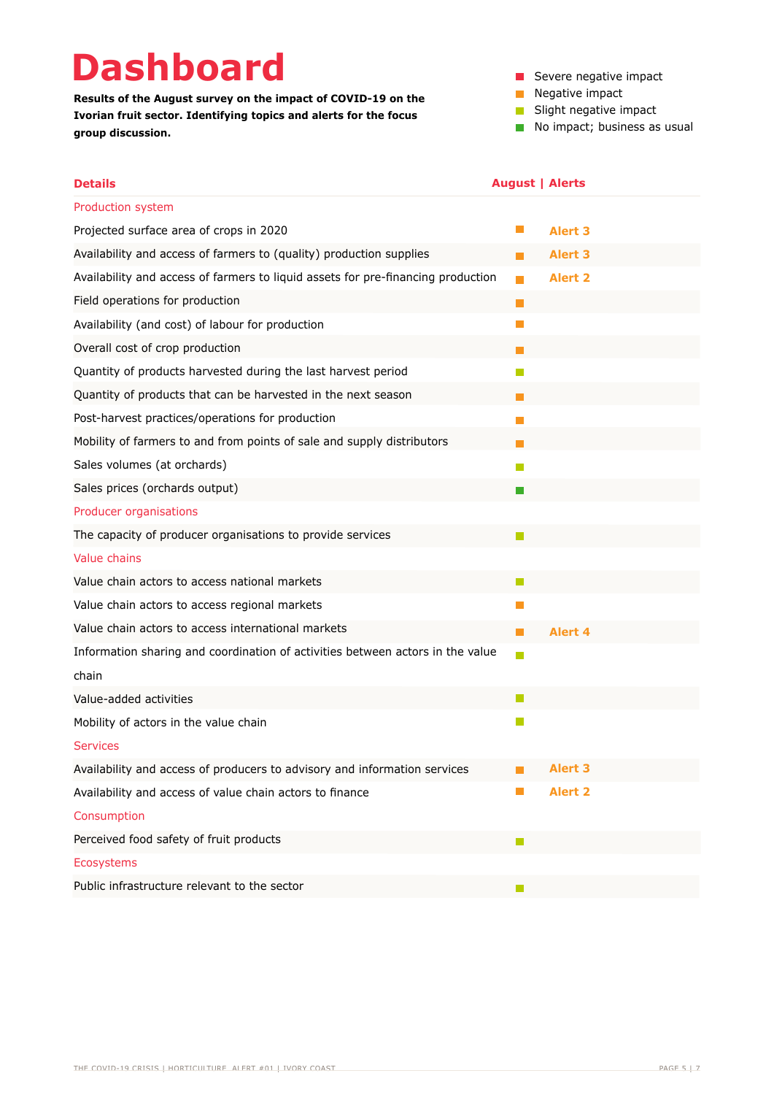# **Dashboard**

**Results of the August survey on the impact of COVID-19 on the Ivorian fruit sector. Identifying topics and alerts for the focus group discussion.**

- Severe negative impact
- Negative impact
- **Slight negative impact**
- No impact; business as usual

| <b>Details</b>                                                                   | <b>August   Alerts</b> |                |
|----------------------------------------------------------------------------------|------------------------|----------------|
| Production system                                                                |                        |                |
| Projected surface area of crops in 2020                                          | H                      | <b>Alert 3</b> |
| Availability and access of farmers to (quality) production supplies              | <b>The State</b>       | <b>Alert 3</b> |
| Availability and access of farmers to liquid assets for pre-financing production |                        | <b>Alert 2</b> |
| Field operations for production                                                  | П                      |                |
| Availability (and cost) of labour for production                                 | H                      |                |
| Overall cost of crop production                                                  |                        |                |
| Quantity of products harvested during the last harvest period                    | M                      |                |
| Quantity of products that can be harvested in the next season                    | k.                     |                |
| Post-harvest practices/operations for production                                 | $\Box$                 |                |
| Mobility of farmers to and from points of sale and supply distributors           |                        |                |
| Sales volumes (at orchards)                                                      | M                      |                |
| Sales prices (orchards output)                                                   |                        |                |
| Producer organisations                                                           |                        |                |
| The capacity of producer organisations to provide services                       |                        |                |
| Value chains                                                                     |                        |                |
| Value chain actors to access national markets                                    |                        |                |
| Value chain actors to access regional markets                                    | Ш                      |                |
| Value chain actors to access international markets                               | . .                    | Alert 4        |
| Information sharing and coordination of activities between actors in the value   | П                      |                |
| chain                                                                            |                        |                |
| Value-added activities                                                           |                        |                |
| Mobility of actors in the value chain                                            | <b>Tall</b>            |                |
| <b>Services</b>                                                                  |                        |                |
| Availability and access of producers to advisory and information services        |                        | <b>Alert 3</b> |
| Availability and access of value chain actors to finance                         | H.                     | <b>Alert 2</b> |
| Consumption                                                                      |                        |                |
| Perceived food safety of fruit products                                          |                        |                |
| <b>Ecosystems</b>                                                                |                        |                |
| Public infrastructure relevant to the sector                                     |                        |                |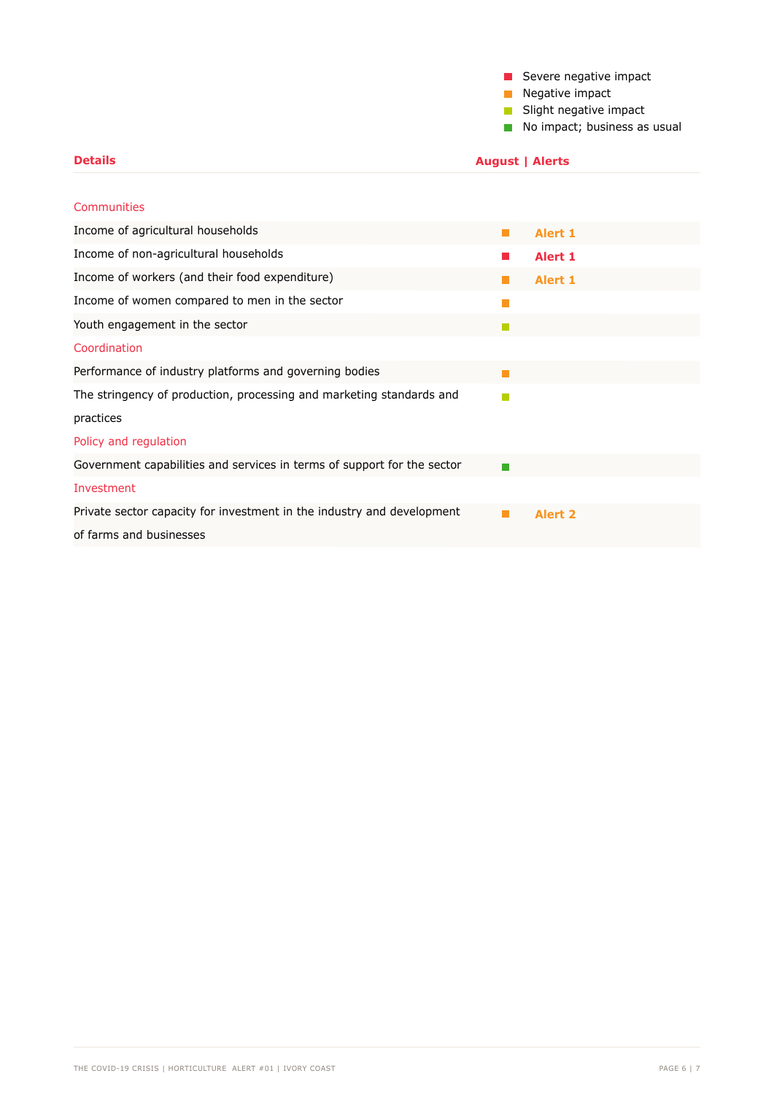|  |  | Severe negative impact |
|--|--|------------------------|
|  |  |                        |

**Negative impact** 

 **August | Alerts**

Slight negative impact

No impact; business as usual

| <b>Communities</b>                                                      |                |
|-------------------------------------------------------------------------|----------------|
| Income of agricultural households                                       | <b>Alert 1</b> |
| Income of non-agricultural households                                   | <b>Alert 1</b> |
| Income of workers (and their food expenditure)                          | Alert 1        |
| Income of women compared to men in the sector                           |                |
| Youth engagement in the sector                                          |                |
| Coordination                                                            |                |
| Performance of industry platforms and governing bodies                  |                |
| The stringency of production, processing and marketing standards and    |                |
| practices                                                               |                |
| Policy and regulation                                                   |                |
| Government capabilities and services in terms of support for the sector |                |
| Investment                                                              |                |
| Private sector capacity for investment in the industry and development  | <b>Alert 2</b> |
| of farms and businesses                                                 |                |

**Details**